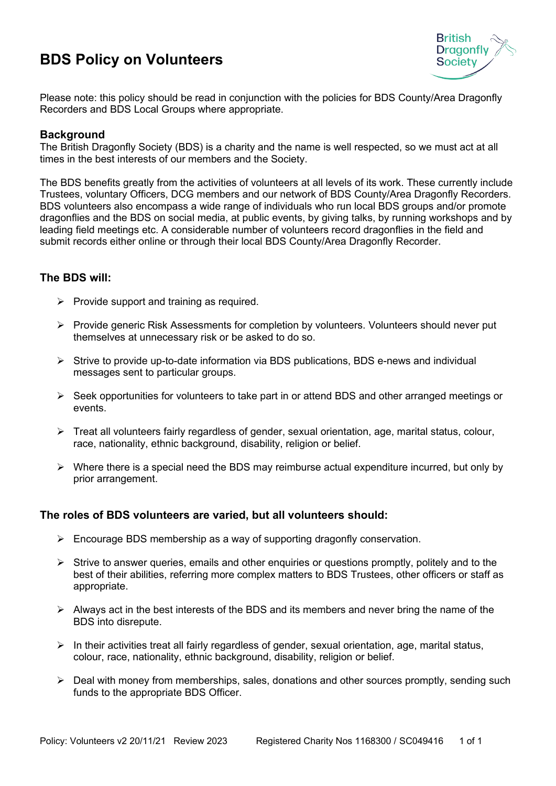## **BDS Policy on Volunteers**



Please note: this policy should be read in conjunction with the policies for BDS County/Area Dragonfly Recorders and BDS Local Groups where appropriate.

## **Background**

The British Dragonfly Society (BDS) is a charity and the name is well respected, so we must act at all times in the best interests of our members and the Society.

The BDS benefits greatly from the activities of volunteers at all levels of its work. These currently include Trustees, voluntary Officers, DCG members and our network of BDS County/Area Dragonfly Recorders. BDS volunteers also encompass a wide range of individuals who run local BDS groups and/or promote dragonflies and the BDS on social media, at public events, by giving talks, by running workshops and by leading field meetings etc. A considerable number of volunteers record dragonflies in the field and submit records either online or through their local BDS County/Area Dragonfly Recorder.

## **The BDS will:**

- $\triangleright$  Provide support and training as required.
- Provide generic Risk Assessments for completion by volunteers. Volunteers should never put themselves at unnecessary risk or be asked to do so.
- $\triangleright$  Strive to provide up-to-date information via BDS publications, BDS e-news and individual messages sent to particular groups.
- $\triangleright$  Seek opportunities for volunteers to take part in or attend BDS and other arranged meetings or events.
- $\triangleright$  Treat all volunteers fairly regardless of gender, sexual orientation, age, marital status, colour, race, nationality, ethnic background, disability, religion or belief.
- $\triangleright$  Where there is a special need the BDS may reimburse actual expenditure incurred, but only by prior arrangement.

## **The roles of BDS volunteers are varied, but all volunteers should:**

- $\triangleright$  Encourage BDS membership as a way of supporting dragonfly conservation.
- $\triangleright$  Strive to answer queries, emails and other enquiries or questions promptly, politely and to the best of their abilities, referring more complex matters to BDS Trustees, other officers or staff as appropriate.
- $\triangleright$  Always act in the best interests of the BDS and its members and never bring the name of the BDS into disrepute.
- $\triangleright$  In their activities treat all fairly regardless of gender, sexual orientation, age, marital status, colour, race, nationality, ethnic background, disability, religion or belief.
- $\triangleright$  Deal with money from memberships, sales, donations and other sources promptly, sending such funds to the appropriate BDS Officer.